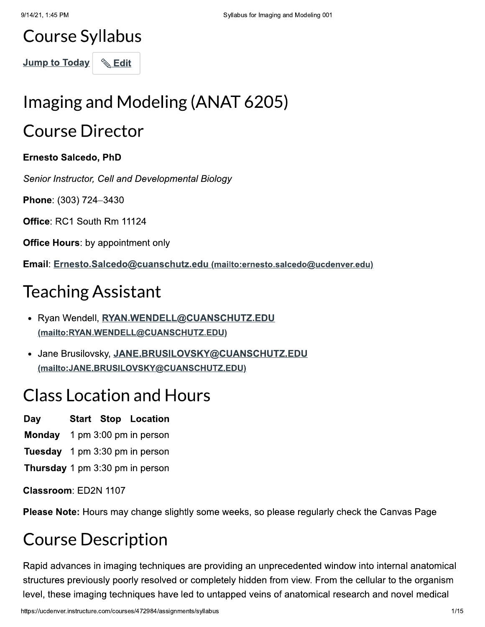# **Course Syllabus**

Jump to Today | Ldit

# Imaging and Modeling (ANAT 6205)

# **Course Director**

### **Ernesto Salcedo, PhD**

Senior Instructor, Cell and Developmental Biology

Phone: (303) 724-3430

Office: RC1 South Rm 11124

**Office Hours:** by appointment only

Email: Ernesto.Salcedo@cuanschutz.edu (mailto:ernesto.salcedo@ucdenver.edu)

# **Teaching Assistant**

- · Ryan Wendell, RYAN.WENDELL@CUANSCHUTZ.EDU (mailto:RYAN.WENDELL@CUANSCHUTZ.EDU)
- Jane Brusilovsky, JANE.BRUSILOVSKY@CUANSCHUTZ.EDU (mailto:JANE.BRUSILOVSKY@CUANSCHUTZ.EDU)

# **Class Location and Hours**

- Day **Start Stop Location**
- **Monday** 1 pm 3:00 pm in person
- **Tuesday** 1 pm 3:30 pm in person
- Thursday 1 pm 3:30 pm in person

Classroom: ED2N 1107

**Please Note:** Hours may change slightly some weeks, so please regularly check the Canvas Page

# **Course Description**

Rapid advances in imaging techniques are providing an unprecedented window into internal anatomical structures previously poorly resolved or completely hidden from view. From the cellular to the organism level, these imaging techniques have led to untapped veins of anatomical research and novel medical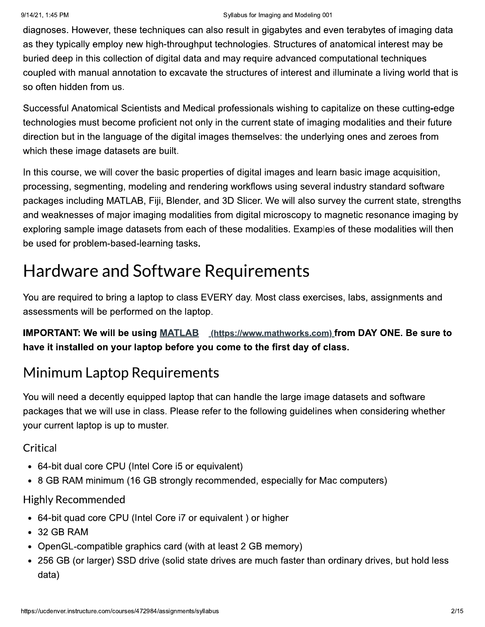diagnoses. However, these techniques can also result in gigabytes and even terabytes of imaging data as they typically employ new high-throughput technologies. Structures of anatomical interest may be buried deep in this collection of digital data and may require advanced computational techniques coupled with manual annotation to excavate the structures of interest and illuminate a living world that is so often hidden from us.

Successful Anatomical Scientists and Medical professionals wishing to capitalize on these cutting-edge technologies must become proficient not only in the current state of imaging modalities and their future direction but in the language of the digital images themselves: the underlying ones and zeroes from which these image datasets are built.

In this course, we will cover the basic properties of digital images and learn basic image acquisition, processing, segmenting, modeling and rendering workflows using several industry standard software packages including MATLAB, Fiji, Blender, and 3D Slicer. We will also survey the current state, strengths and weaknesses of major imaging modalities from digital microscopy to magnetic resonance imaging by exploring sample image datasets from each of these modalities. Examples of these modalities will then be used for problem-based-learning tasks.

# **Hardware and Software Requirements**

You are required to bring a laptop to class EVERY day. Most class exercises, labs, assignments and assessments will be performed on the laptop.

**IMPORTANT: We will be using MATLAB** (https://www.mathworks.com) from DAY ONE. Be sure to have it installed on your laptop before you come to the first day of class.

## **Minimum Laptop Requirements**

You will need a decently equipped laptop that can handle the large image datasets and software packages that we will use in class. Please refer to the following guidelines when considering whether your current laptop is up to muster.

## Critical

- 64-bit dual core CPU (Intel Core i5 or equivalent)
- 8 GB RAM minimum (16 GB strongly recommended, especially for Mac computers)

### **Highly Recommended**

- 64-bit quad core CPU (Intel Core i7 or equivalent) or higher
- 32 GB RAM
- OpenGL-compatible graphics card (with at least 2 GB memory)
- 256 GB (or larger) SSD drive (solid state drives are much faster than ordinary drives, but hold less data)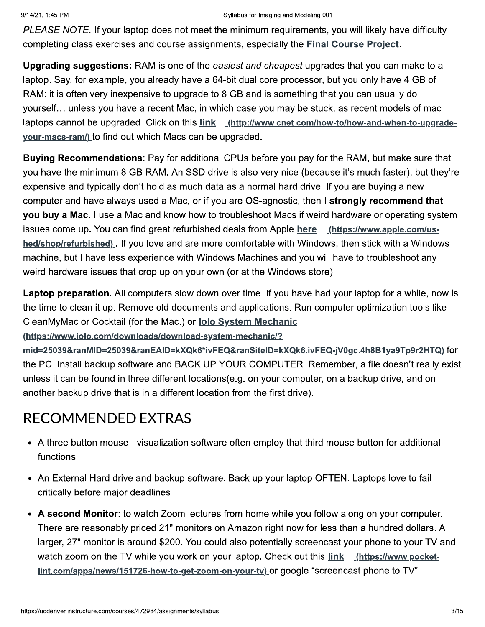9/14/21, 1:45 PM

#### Syllabus for Imaging and Modeling 001

PLEASE NOTE. If your laptop does not meet the minimum requirements, you will likely have difficulty completing class exercises and course assignments, especially the **Final Course Project**.

**Upgrading suggestions:** RAM is one of the easiest and cheapest upgrades that you can make to a laptop. Say, for example, you already have a 64-bit dual core processor, but you only have 4 GB of RAM: it is often very inexpensive to upgrade to 8 GB and is something that you can usually do yourself... unless you have a recent Mac, in which case you may be stuck, as recent models of mac laptops cannot be upgraded. Click on this link (http://www.cnet.com/how-to/how-and-when-to-upgradeyour-macs-ram/) to find out which Macs can be upgraded.

**Buying Recommendations: Pay for additional CPUs before you pay for the RAM, but make sure that** you have the minimum 8 GB RAM. An SSD drive is also very nice (because it's much faster), but they're expensive and typically don't hold as much data as a normal hard drive. If you are buying a new computer and have always used a Mac, or if you are OS-agnostic, then I strongly recommend that you buy a Mac. I use a Mac and know how to troubleshoot Macs if weird hardware or operating system issues come up. You can find great refurbished deals from Apple here (https://www.apple.com/ushed/shop/refurbished). If you love and are more comfortable with Windows, then stick with a Windows machine, but I have less experience with Windows Machines and you will have to troubleshoot any weird hardware issues that crop up on your own (or at the Windows store).

Laptop preparation. All computers slow down over time. If you have had your laptop for a while, now is the time to clean it up. Remove old documents and applications. Run computer optimization tools like CleanMyMac or Cocktail (for the Mac.) or **lolo System Mechanic** 

(https://www.iolo.com/downloads/download-system-mechanic/?

mid=25039&ranMID=25039&ranEAID=kXQk6\*ivFEQ&ranSiteID=kXQk6.ivFEQ-jV0gc.4h8B1ya9Tp9r2HTQ) for the PC. Install backup software and BACK UP YOUR COMPUTER. Remember, a file doesn't really exist unless it can be found in three different locations(e.g. on your computer, on a backup drive, and on another backup drive that is in a different location from the first drive).

## **RECOMMENDED EXTRAS**

- A three button mouse visualization software often employ that third mouse button for additional functions.
- An External Hard drive and backup software. Back up your laptop OFTEN. Laptops love to fail critically before major deadlines
- A second Monitor: to watch Zoom lectures from home while you follow along on your computer. There are reasonably priced 21" monitors on Amazon right now for less than a hundred dollars. A larger, 27" monitor is around \$200. You could also potentially screencast your phone to your TV and watch zoom on the TV while you work on your laptop. Check out this link (https://www.pocketlint.com/apps/news/151726-how-to-get-zoom-on-your-ty) or google "screencast phone to TV"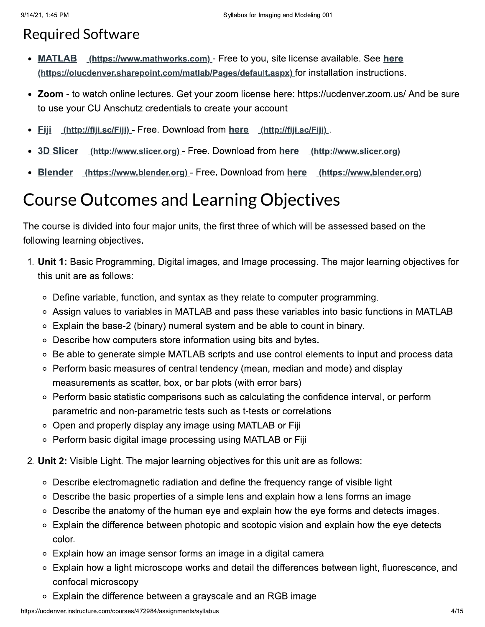## **Required Software**

- MATLAB (https://www.mathworks.com) Free to you, site license available. See here (https://olucdenver.sharepoint.com/matlab/Pages/default.aspx) for installation instructions.
- Zoom to watch online lectures. Get your zoom license here: https://ucdenver.zoom.us/ And be sure to use your CU Anschutz credentials to create your account
- Fiji (http://fiji.sc/Fiji) Free. Download from here (http://fiji.sc/Fiji).
- **3D Slicer** (http://www.slicer.org) - Free. Download from here (http://www.slicer.org)
- Blender <u>(https://www.blender.org)</u> - Free. Download from here (https://www.blender.org)

# **Course Outcomes and Learning Objectives**

The course is divided into four major units, the first three of which will be assessed based on the following learning objectives.

- 1. Unit 1: Basic Programming, Digital images, and Image processing. The major learning objectives for this unit are as follows:
	- Define variable, function, and syntax as they relate to computer programming.
	- Assign values to variables in MATLAB and pass these variables into basic functions in MATLAB
	- ∘ Explain the base-2 (binary) numeral system and be able to count in binary.
	- Describe how computers store information using bits and bytes.
	- Be able to generate simple MATLAB scripts and use control elements to input and process data
	- Perform basic measures of central tendency (mean, median and mode) and display measurements as scatter, box, or bar plots (with error bars)
	- Perform basic statistic comparisons such as calculating the confidence interval, or perform parametric and non-parametric tests such as t-tests or correlations
	- Open and properly display any image using MATLAB or Fiji
	- Perform basic digital image processing using MATLAB or Fiji
- 2. Unit 2: Visible Light. The major learning objectives for this unit are as follows:
	- Describe electromagnetic radiation and define the frequency range of visible light
	- Describe the basic properties of a simple lens and explain how a lens forms an image
	- Describe the anatomy of the human eye and explain how the eye forms and detects images.  $\circ$
	- Explain the difference between photopic and scotopic vision and explain how the eye detects color.
	- Explain how an image sensor forms an image in a digital camera
	- Explain how a light microscope works and detail the differences between light, fluorescence, and confocal microscopy
	- Explain the difference between a grayscale and an RGB image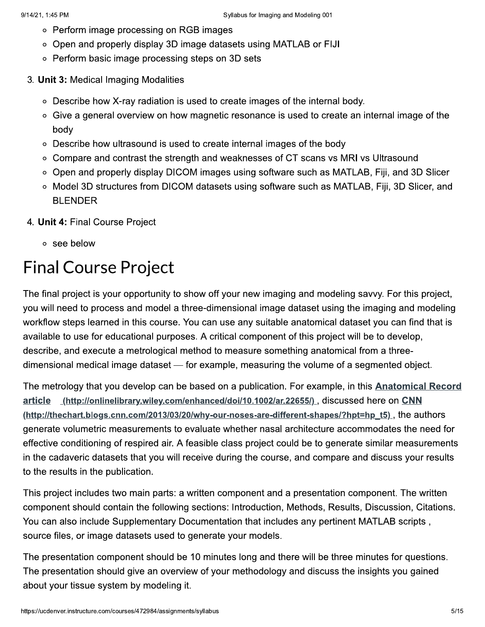- Perform image processing on RGB images
- Open and properly display 3D image datasets using MATLAB or FIJI
- Perform basic image processing steps on 3D sets
- 3. Unit 3: Medical Imaging Modalities
	- Describe how X-ray radiation is used to create images of the internal body.
	- Give a general overview on how magnetic resonance is used to create an internal image of the body
	- Describe how ultrasound is used to create internal images of the body
	- Compare and contrast the strength and weaknesses of CT scans vs MRI vs Ultrasound
	- Open and properly display DICOM images using software such as MATLAB, Fiji, and 3D Slicer
	- Model 3D structures from DICOM datasets using software such as MATLAB, Fiji, 3D Slicer, and **BLENDER**
- 4. Unit 4: Final Course Project
	- o see below

# **Final Course Project**

The final project is your opportunity to show off your new imaging and modeling say y. For this project, you will need to process and model a three-dimensional image dataset using the imaging and modeling workflow steps learned in this course. You can use any suitable anatomical dataset you can find that is available to use for educational purposes. A critical component of this project will be to develop, describe, and execute a metrological method to measure something anatomical from a threedimensional medical image dataset — for example, measuring the volume of a segmented object.

The metrology that you develop can be based on a publication. For example, in this **Anatomical Record** article (http://onlinelibrary.wiley.com/enhanced/doi/10.1002/ar.22655/), discussed here on CNN (http://thechart.blogs.cnn.com/2013/03/20/why-our-noses-are-different-shapes/?hpt=hp\_t5), the authors generate volumetric measurements to evaluate whether nasal architecture accommodates the need for effective conditioning of respired air. A feasible class project could be to generate similar measurements in the cadaveric datasets that you will receive during the course, and compare and discuss your results to the results in the publication.

This project includes two main parts: a written component and a presentation component. The written component should contain the following sections: Introduction, Methods, Results, Discussion, Citations. You can also include Supplementary Documentation that includes any pertinent MATLAB scripts, source files, or image datasets used to generate your models.

The presentation component should be 10 minutes long and there will be three minutes for questions. The presentation should give an overview of your methodology and discuss the insights you gained about your tissue system by modeling it.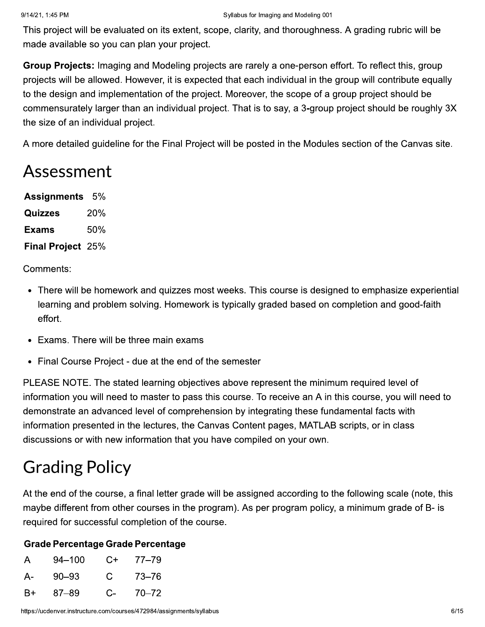This project will be evaluated on its extent, scope, clarity, and thoroughness. A grading rubric will be made available so you can plan your project.

Group Projects: Imaging and Modeling projects are rarely a one-person effort. To reflect this, group projects will be allowed. However, it is expected that each individual in the group will contribute equally to the design and implementation of the project. Moreover, the scope of a group project should be commensurately larger than an individual project. That is to say, a 3-group project should be roughly 3X the size of an individual project.

A more detailed guideline for the Final Project will be posted in the Modules section of the Canvas site.

## Assessment

| Assignments $5\%$        |     |
|--------------------------|-----|
| Quizzes                  | 20% |
| Exams                    | 50% |
| <b>Final Project 25%</b> |     |

Comments:

- There will be homework and quizzes most weeks. This course is designed to emphasize experiential learning and problem solving. Homework is typically graded based on completion and good-faith effort.
- Exams. There will be three main exams
- Final Course Project due at the end of the semester

PLEASE NOTE. The stated learning objectives above represent the minimum required level of information you will need to master to pass this course. To receive an A in this course, you will need to demonstrate an advanced level of comprehension by integrating these fundamental facts with information presented in the lectures, the Canvas Content pages, MATLAB scripts, or in class discussions or with new information that you have compiled on your own.

# **Grading Policy**

At the end of the course, a final letter grade will be assigned according to the following scale (note, this maybe different from other courses in the program). As per program policy, a minimum grade of B- is required for successful completion of the course.

#### **Grade Percentage Grade Percentage**

| A.   | $94 - 100$ |    | $C+ 77-79$ |
|------|------------|----|------------|
| A- 1 | $90 - 93$  | C. | 73–76      |
| B+   | 87–89      |    | $C-70-72$  |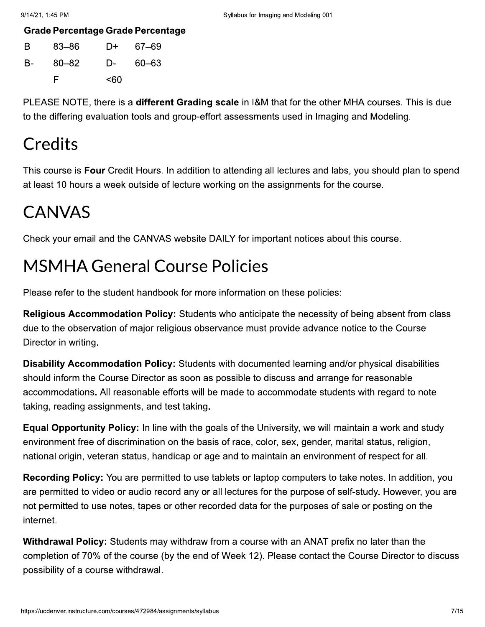**Grade Percentage Grade Percentage** 

| B. | 83–86 |      | D+ 67–69 |
|----|-------|------|----------|
| B- | 80–82 | $D-$ | 60-63    |
|    | F     | <60  |          |

PLEASE NOTE, there is a different Grading scale in I&M that for the other MHA courses. This is due to the differing evaluation tools and group-effort assessments used in Imaging and Modeling.

# **Credits**

This course is Four Credit Hours. In addition to attending all lectures and labs, you should plan to spend at least 10 hours a week outside of lecture working on the assignments for the course.

# **CANVAS**

Check your email and the CANVAS website DAILY for important notices about this course.

# **MSMHA General Course Policies**

Please refer to the student handbook for more information on these policies:

Religious Accommodation Policy: Students who anticipate the necessity of being absent from class due to the observation of major religious observance must provide advance notice to the Course Director in writing.

**Disability Accommodation Policy:** Students with documented learning and/or physical disabilities should inform the Course Director as soon as possible to discuss and arrange for reasonable accommodations. All reasonable efforts will be made to accommodate students with regard to note taking, reading assignments, and test taking.

**Equal Opportunity Policy:** In line with the goals of the University, we will maintain a work and study environment free of discrimination on the basis of race, color, sex, gender, marital status, religion, national origin, veteran status, handicap or age and to maintain an environment of respect for all.

**Recording Policy:** You are permitted to use tablets or laptop computers to take notes. In addition, you are permitted to video or audio record any or all lectures for the purpose of self-study. However, you are not permitted to use notes, tapes or other recorded data for the purposes of sale or posting on the internet.

Withdrawal Policy: Students may withdraw from a course with an ANAT prefix no later than the completion of 70% of the course (by the end of Week 12). Please contact the Course Director to discuss possibility of a course withdrawal.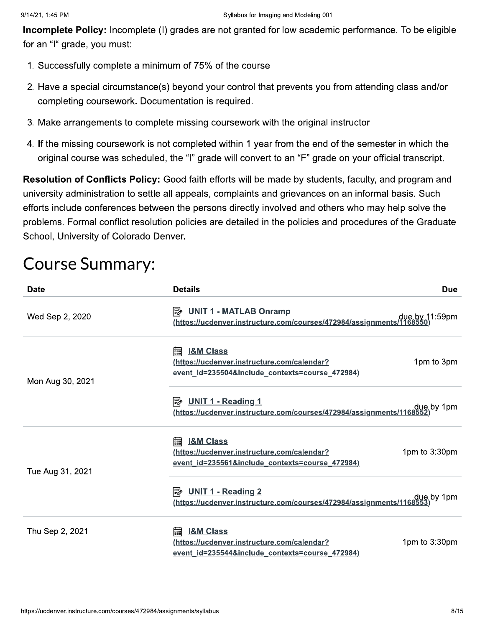Incomplete Policy: Incomplete (I) grades are not granted for low academic performance. To be eligible for an "I" grade, you must:

- 1. Successfully complete a minimum of 75% of the course
- 2. Have a special circumstance(s) beyond your control that prevents you from attending class and/or completing coursework. Documentation is required.
- 3. Make arrangements to complete missing coursework with the original instructor
- 4. If the missing coursework is not completed within 1 year from the end of the semester in which the original course was scheduled, the "I" grade will convert to an "F" grade on your official transcript.

| completing coursework. Documentation is required.                                                                                                                                                                                                                                                                                                                                                                                                                            |                        |
|------------------------------------------------------------------------------------------------------------------------------------------------------------------------------------------------------------------------------------------------------------------------------------------------------------------------------------------------------------------------------------------------------------------------------------------------------------------------------|------------------------|
| 3. Make arrangements to complete missing coursework with the original instructor                                                                                                                                                                                                                                                                                                                                                                                             |                        |
| 4. If the missing coursework is not completed within 1 year from the end of the semester in which the<br>original course was scheduled, the "I" grade will convert to an "F" grade on your official transcript.                                                                                                                                                                                                                                                              |                        |
| Resolution of Conflicts Policy: Good faith efforts will be made by students, faculty, and program and<br>university administration to settle all appeals, complaints and grievances on an informal basis. Such<br>efforts include conferences between the persons directly involved and others who may help solve the<br>problems. Formal conflict resolution policies are detailed in the policies and procedures of the Graduate<br>School, University of Colorado Denver. |                        |
| <b>Details</b>                                                                                                                                                                                                                                                                                                                                                                                                                                                               | <b>Due</b>             |
| 國<br><b>UNIT 1 - MATLAB Onramp</b><br>due by 11:59pm due thttps://ucdenver.instructure.com/courses/472984/assignments/1168550)                                                                                                                                                                                                                                                                                                                                               |                        |
| <b>I&amp;M Class</b><br>(https://ucdenver.instructure.com/calendar?<br>event id=235504&include contexts=course 472984)                                                                                                                                                                                                                                                                                                                                                       | 1pm to 3pm             |
| 國<br><b>UNIT 1 - Reading 1</b><br>due by 1pm (https://ucdenver.instructure.com/courses/472984/assignments/1168552)                                                                                                                                                                                                                                                                                                                                                           |                        |
| <b>I&amp;M Class</b><br>(https://ucdenver.instructure.com/calendar?<br>event id=235561&include contexts=course 472984)                                                                                                                                                                                                                                                                                                                                                       | 1pm to $3:30$ pm       |
| 國<br><b>UNIT 1 - Reading 2</b><br>due by 1pm dustructure.com/courses/472984/assignments/1168553).                                                                                                                                                                                                                                                                                                                                                                            |                        |
|                                                                                                                                                                                                                                                                                                                                                                                                                                                                              |                        |
|                                                                                                                                                                                                                                                                                                                                                                                                                                                                              | <b>Course Summary:</b> |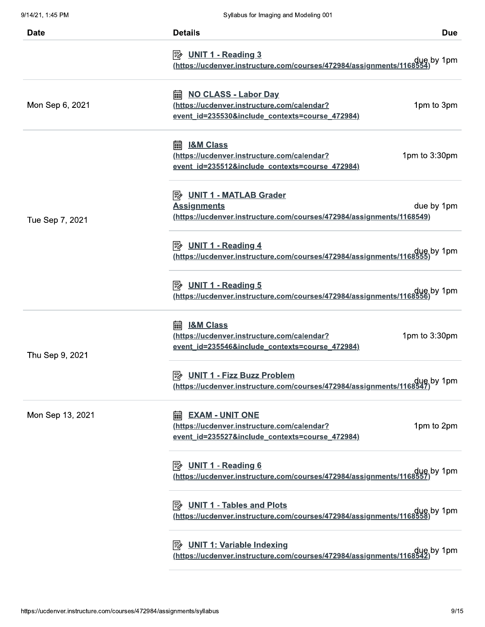| <b>Date</b>      | <b>Details</b>                                                                                                                                                                  | <b>Due</b> |
|------------------|---------------------------------------------------------------------------------------------------------------------------------------------------------------------------------|------------|
|                  | <b>B</b> UNIT 1 - Reading 3                                                                                                                                                     |            |
|                  |                                                                                                                                                                                 |            |
| Mon Sep 6, 2021  | <b>NO CLASS - Labor Day</b><br>圇<br>(https://ucdenver.instructure.com/calendar?                                                                                                 | 1pm to 3pm |
|                  | event id=235530&include contexts=course 472984)                                                                                                                                 |            |
|                  | <b>I&amp;M Class</b><br>扁<br>1pm to 3:30pm<br>(https://ucdenver.instructure.com/calendar?<br>event id=235512&include contexts=course 472984)                                    |            |
| Tue Sep 7, 2021  | <b>E</b> UNIT 1 - MATLAB Grader<br><b>Assignments</b><br>(https://ucdenver.instructure.com/courses/472984/assignments/1168549)                                                  | due by 1pm |
|                  | <b>B</b> UNIT 1 - Reading 4<br>due by 1pm (https://ucdenver.instructure.com/courses/472984/assignments/1168555)                                                                 |            |
|                  | <b>B</b> UNIT 1 - Reading 5<br>due by 1pm dustructure.com/courses/472984/assignments/1168556).                                                                                  |            |
| Thu Sep 9, 2021  | <b>I&amp;M Class</b><br>匾<br>1pm to 3:30pm<br>(https://ucdenver.instructure.com/calendar?<br>event id=235546&include contexts=course 472984)                                    |            |
|                  | <b>B</b> UNIT 1 - Fizz Buzz Problem<br>due by 1pm due thttps://ucdenver.instructure.com/courses/472984/assignments/1168547                                                      |            |
| Mon Sep 13, 2021 | <b>EXAM - UNIT ONE</b><br>酾<br>(https://ucdenver.instructure.com/calendar?<br>event_id=235527&include_contexts=course_472984)                                                   | 1pm to 2pm |
|                  | <b>B</b> UNIT 1 - Reading 6<br>due by 1pm (https://ucdenver.instructure.com/courses/472984/assignments/1168557)                                                                 |            |
|                  | <b>E</b> UNIT 1 - Tables and Plots<br>due by 1pm dustructure.com/courses/472984/assignments/1168558).<br>(https://ucdenver.instructure.com/courses/472984/assignments/1168558). |            |
|                  | <b>B</b> UNIT 1: Variable Indexing<br>due by 1pm dustructure.com/courses/472984/assignments/1168542).                                                                           |            |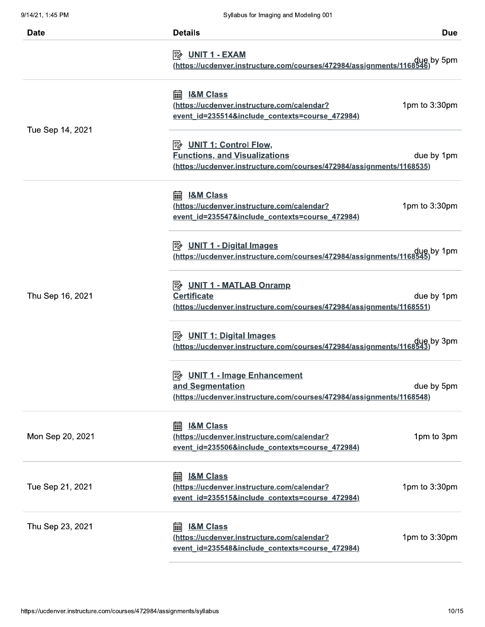| 9/14/21, 1:45 PM | Syllabus for Imaging and Modeling 001                                                                                            |               |
|------------------|----------------------------------------------------------------------------------------------------------------------------------|---------------|
| <b>Date</b>      | <b>Details</b>                                                                                                                   | <b>Due</b>    |
|                  | <b>B</b> UNIT 1 - EXAM<br>due by 5pm (https://ucdenver.instructure.com/courses/472984/assignments/1168546).                      |               |
| Tue Sep 14, 2021 | <b>I&amp;M Class</b><br>霝<br>https://ucdenver.instructure.com/calendar?<br>event_id=235514&include_contexts=course_472984)       | 1pm to 3:30pm |
|                  | <b>Functions, and Visualizations</b><br>(https://ucdenver.instructure.com/courses/472984/assignments/1168535)                    | due by 1pm    |
|                  | <b>I&amp;M Class</b><br>扁<br>(https://ucdenver.instructure.com/calendar?<br>event_id=235547&include_contexts=course_472984)      | 1pm to 3:30pm |
|                  | $\mathbb{R}$ UNIT 1 - Digital Images<br>due by 1pm (https://ucdenver.instructure.com/courses/472984/assignments/1168545)         |               |
| Thu Sep 16, 2021 | <b>B</b> UNIT 1 - MATLAB Onramp<br><b>Certificate</b><br>(https://ucdenver.instructure.com/courses/472984/assignments/1168551)   | due by 1pm    |
|                  | $\mathbb{R}$ UNIT 1: Digital Images<br>due by 3pm (https://ucdenver.instructure.com/courses/472984/assignments/1168543).         |               |
|                  | <b>B</b> UNIT 1 - Image Enhancement<br>and Segmentation<br>(https://ucdenver.instructure.com/courses/472984/assignments/1168548) | due by 5pm    |
| Mon Sep 20, 2021 | <b>I&amp;M Class</b><br>圇<br>(https://ucdenver.instructure.com/calendar?<br>event_id=235506&include_contexts=course_472984)      | 1pm to 3pm    |
| Tue Sep 21, 2021 | <b>I&amp;M Class</b><br>翩<br>(https://ucdenver.instructure.com/calendar?<br>event id=235515&include contexts=course 472984)      | 1pm to 3:30pm |
| Thu Sep 23, 2021 | <b>I&amp;M Class</b><br>匾<br>(https://ucdenver.instructure.com/calendar?<br>event_id=235548&include_contexts=course_472984)      | 1pm to 3:30pm |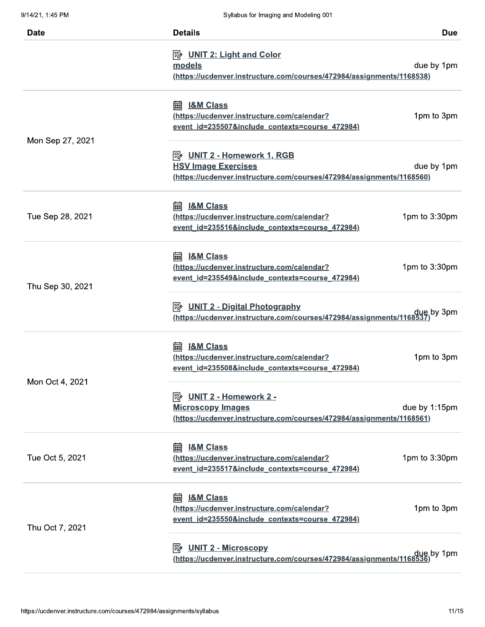| <b>Date</b>      | <b>Details</b><br><b>Due</b>                                                     |
|------------------|----------------------------------------------------------------------------------|
|                  | $\Rightarrow$ UNIT 2: Light and Color                                            |
|                  | models<br>due by 1pm                                                             |
|                  | (https://ucdenver.instructure.com/courses/472984/assignments/1168538)            |
|                  | <b>I&amp;M Class</b><br>匾                                                        |
|                  | 1pm to 3pm<br>(https://ucdenver.instructure.com/calendar?                        |
| Mon Sep 27, 2021 | event id=235507&include contexts=course 472984)                                  |
|                  | <b>B</b> UNIT 2 - Homework 1, RGB                                                |
|                  | <b>HSV Image Exercises</b><br>due by 1pm                                         |
|                  | (https://ucdenver.instructure.com/courses/472984/assignments/1168560)            |
|                  | <b>I&amp;M Class</b><br>匾                                                        |
| Tue Sep 28, 2021 | 1pm to 3:30pm<br>(https://ucdenver.instructure.com/calendar?                     |
|                  | event id=235516&include contexts=course 472984)                                  |
|                  | <b>I&amp;M Class</b><br>酾                                                        |
|                  | (https://ucdenver.instructure.com/calendar?<br>1pm to 3:30pm                     |
| Thu Sep 30, 2021 | event_id=235549&include_contexts=course_472984)                                  |
|                  | <b>B</b> UNIT 2 - Digital Photography                                            |
|                  | due by 3pm (https://ucdenver.instructure.com/courses/472984/assignments/1168537) |
|                  | <b>I&amp;M Class</b><br>匾                                                        |
|                  | 1pm to 3pm<br>(https://ucdenver.instructure.com/calendar?                        |
| Mon Oct 4, 2021  | event id=235508&include contexts=course 472984)                                  |
|                  | <u> UNIT 2 - Homework 2 -</u><br> 5∕∕                                            |
|                  | <b>Microscopy Images</b><br>due by 1:15pm                                        |
|                  | (https://ucdenver.instructure.com/courses/472984/assignments/1168561)            |
|                  | <b>I&amp;M Class</b><br>扁                                                        |
| Tue Oct 5, 2021  | 1pm to 3:30pm<br>https://ucdenver.instructure.com/calendar?                      |
|                  | event id=235517&include contexts=course 472984)                                  |
|                  | <b>I&amp;M Class</b><br>翩                                                        |
|                  | 1pm to 3pm<br>(https://ucdenver.instructure.com/calendar?                        |
| Thu Oct 7, 2021  | event id=235550&include contexts=course 472984)                                  |
|                  | <b>UNIT 2 - Microscopy</b><br>∣╬                                                 |
|                  | due by 1pm (https://ucdenver.instructure.com/courses/472984/assignments/1168536) |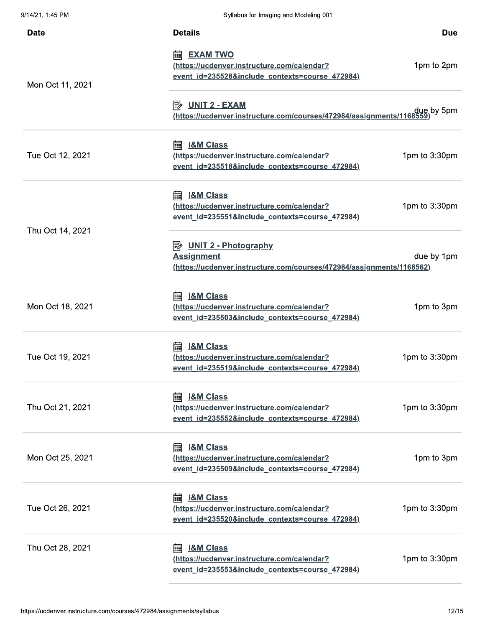|                  | <b>Details</b>                                                                                      |               |
|------------------|-----------------------------------------------------------------------------------------------------|---------------|
| <b>Date</b>      |                                                                                                     | <b>Due</b>    |
|                  | <b>EXAM TWO</b><br>霝<br>(https://ucdenver.instructure.com/calendar?                                 |               |
|                  | event_id=235528&include_contexts=course_472984)                                                     | 1pm to 2pm    |
| Mon Oct 11, 2021 |                                                                                                     |               |
|                  | 國<br><b>UNIT 2 - EXAM</b>                                                                           |               |
|                  | due by 5pm <u>)</u><br><u>(https://ucdenver.instructure.com/courses/472984/assignments/1168559)</u> |               |
|                  | <b>I&amp;M Class</b><br>扁                                                                           |               |
| Tue Oct 12, 2021 | (https://ucdenver.instructure.com/calendar?                                                         | 1pm to 3:30pm |
|                  | event id=235518&include contexts=course 472984)                                                     |               |
|                  | 龠<br><b>I&amp;M Class</b>                                                                           |               |
|                  | (https://ucdenver.instructure.com/calendar?                                                         | 1pm to 3:30pm |
|                  | event id=235551&include contexts=course 472984)                                                     |               |
| Thu Oct 14, 2021 | $\mathbb{R}$ UNIT 2 - Photography                                                                   |               |
|                  | <b>Assignment</b>                                                                                   | due by 1pm    |
|                  | (https://ucdenver.instructure.com/courses/472984/assignments/1168562)                               |               |
|                  | <b>I&amp;M Class</b>                                                                                |               |
| Mon Oct 18, 2021 | (https://ucdenver.instructure.com/calendar?                                                         | 1pm to 3pm    |
|                  | event id=235503&include contexts=course 472984)                                                     |               |
|                  | <b>I&amp;M Class</b><br>酾                                                                           |               |
| Tue Oct 19, 2021 | (https://ucdenver.instructure.com/calendar?                                                         | 1pm to 3:30pm |
|                  | event id=235519&include contexts=course 472984)                                                     |               |
|                  | <b>I&amp;M Class</b><br>翩                                                                           |               |
| Thu Oct 21, 2021 | (https://ucdenver.instructure.com/calendar?                                                         | 1pm to 3:30pm |
|                  | event_id=235552&include_contexts=course_472984)                                                     |               |
|                  | <b>I&amp;M Class</b><br>翩                                                                           |               |
| Mon Oct 25, 2021 | (https://ucdenver.instructure.com/calendar?                                                         | 1pm to 3pm    |
|                  | event id=235509&include contexts=course 472984)                                                     |               |
|                  | <b>I&amp;M Class</b><br>翩                                                                           |               |
| Tue Oct 26, 2021 | (https://ucdenver.instructure.com/calendar?                                                         | 1pm to 3:30pm |
|                  | event id=235520&include contexts=course 472984)                                                     |               |
| Thu Oct 28, 2021 | <b>I&amp;M Class</b><br>扁                                                                           |               |
|                  | (https://ucdenver.instructure.com/calendar?                                                         | 1pm to 3:30pm |
|                  | event id=235553&include contexts=course 472984)                                                     |               |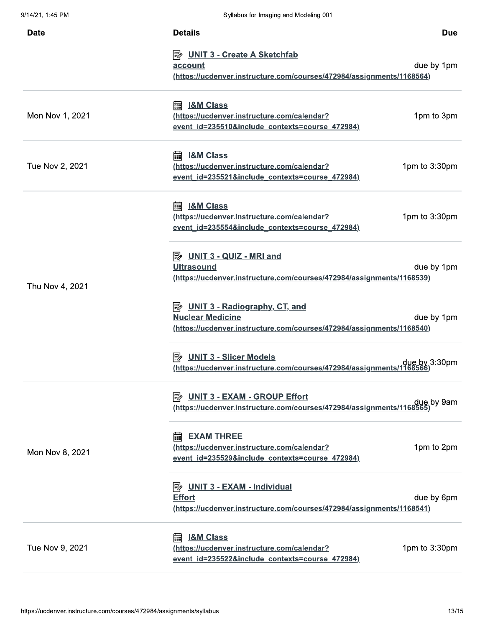| <b>Date</b>     | <b>Details</b><br><b>Due</b>                                                                                   |
|-----------------|----------------------------------------------------------------------------------------------------------------|
|                 |                                                                                                                |
|                 | <b>E</b> UNIT 3 - Create A Sketchfab                                                                           |
|                 | due by 1pm<br>account<br>(https://ucdenver.instructure.com/courses/472984/assignments/1168564)                 |
|                 |                                                                                                                |
|                 | <b>I&amp;M Class</b><br>扁                                                                                      |
| Mon Nov 1, 2021 | 1pm to 3pm<br>(https://ucdenver.instructure.com/calendar?                                                      |
|                 | event_id=235510&include_contexts=course_472984)                                                                |
|                 | <b>I&amp;M Class</b><br>扁                                                                                      |
| Tue Nov 2, 2021 | 1pm to 3:30pm<br>(https://ucdenver.instructure.com/calendar?                                                   |
|                 | event id=235521&include contexts=course 472984)                                                                |
|                 | 翩<br><b>I&amp;M Class</b>                                                                                      |
|                 | 1pm to 3:30pm<br>(https://ucdenver.instructure.com/calendar?                                                   |
|                 | event id=235554&include contexts=course 472984)                                                                |
|                 |                                                                                                                |
|                 | ι<br>UNIT 3 - QUIZ - MRI and<br><b>Ultrasound</b><br>due by 1pm                                                |
|                 | (https://ucdenver.instructure.com/courses/472984/assignments/1168539)                                          |
| Thu Nov 4, 2021 |                                                                                                                |
|                 | <b>B</b> UNIT 3 - Radiography, CT, and                                                                         |
|                 | <b>Nuclear Medicine</b><br>due by 1pm<br>(https://ucdenver.instructure.com/courses/472984/assignments/1168540) |
|                 |                                                                                                                |
|                 | <b>UNIT 3 - Slicer Models</b><br> ≅≽                                                                           |
|                 | due by 3:30pm<br><u>(https://ucdenver.instructure.com/courses/472984/assignments/1168566)</u>                  |
|                 | <b>UNIT 3 - EXAM - GROUP Effort</b><br> ≅≽                                                                     |
|                 | due by 9am<br>(https://ucdenver.instructure.com/courses/472984/assignments/1168565).                           |
|                 | <b>EXAM THREE</b><br>扁                                                                                         |
|                 | 1pm to 2pm<br>(https://ucdenver.instructure.com/calendar?                                                      |
| Mon Nov 8, 2021 | event_id=235529&include_contexts=course_472984)                                                                |
|                 |                                                                                                                |
|                 | $\Rightarrow$ UNIT 3 - EXAM - Individual<br>due by 6pm<br><b>Effort</b>                                        |
|                 | (https://ucdenver.instructure.com/courses/472984/assignments/1168541)                                          |
|                 |                                                                                                                |
| Tue Nov 9, 2021 | <b>I&amp;M Class</b><br>扁<br>1pm to 3:30pm<br>(https://ucdenver.instructure.com/calendar?                      |
|                 | event_id=235522&include_contexts=course_472984)                                                                |
|                 |                                                                                                                |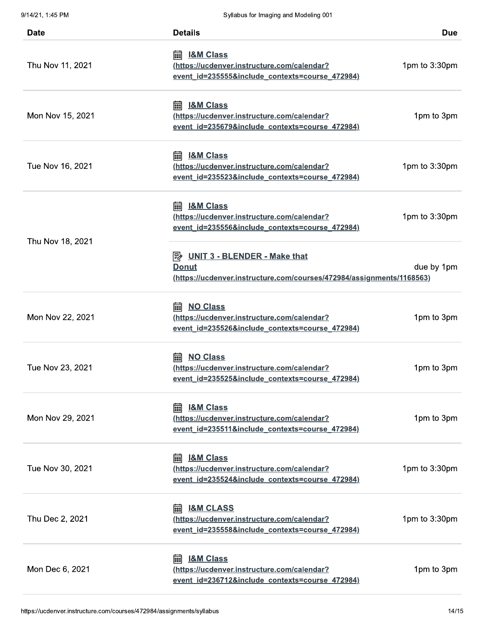| Syllabus for Imaging and Modeling 001                                                                                       |                                                                       |
|-----------------------------------------------------------------------------------------------------------------------------|-----------------------------------------------------------------------|
| <b>Details</b>                                                                                                              | <b>Due</b>                                                            |
| 霝<br><b>I&amp;M Class</b><br>(https://ucdenver.instructure.com/calendar?<br>event_id=235555&include_contexts=course_472984) | 1pm to 3:30pm                                                         |
| 扁<br><b>I&amp;M Class</b><br>(https://ucdenver.instructure.com/calendar?<br>event id=235679&include contexts=course 472984) | 1pm to 3pm                                                            |
| <b>I&amp;M Class</b><br>扁<br>(https://ucdenver.instructure.com/calendar?<br>event id=235523&include contexts=course 472984) | 1pm to 3:30pm                                                         |
| 扁<br><b>I&amp;M Class</b><br>(https://ucdenver.instructure.com/calendar?<br>event id=235556&include contexts=course 472984) | 1pm to 3:30pm                                                         |
| $\mathbb{R}$ UNIT 3 - BLENDER - Make that<br>Donut                                                                          | due by 1pm                                                            |
| 圇<br><b>NO Class</b><br>(https://ucdenver.instructure.com/calendar?<br>event id=235526&include contexts=course 472984)      | 1pm to 3pm                                                            |
| <b>NO Class</b><br>匾<br>(https://ucdenver.instructure.com/calendar?<br>event id=235525&include contexts=course 472984)      | 1pm to 3pm                                                            |
| <b>I&amp;M Class</b><br>圇<br>(https://ucdenver.instructure.com/calendar?<br>event id=235511&include contexts=course 472984) | 1pm to 3pm                                                            |
| <b>I&amp;M Class</b><br>翩<br>(https://ucdenver.instructure.com/calendar?<br>event id=235524&include contexts=course 472984) | 1pm to 3:30pm                                                         |
| <b>I&amp;M CLASS</b><br>翩<br>(https://ucdenver.instructure.com/calendar?<br>event id=235558&include contexts=course 472984) | 1pm to 3:30pm                                                         |
| <b>I&amp;M Class</b><br>圇<br>(https://ucdenver.instructure.com/calendar?<br>event id=236712&include contexts=course 472984) | 1pm to 3pm                                                            |
|                                                                                                                             | (https://ucdenver.instructure.com/courses/472984/assignments/1168563) |